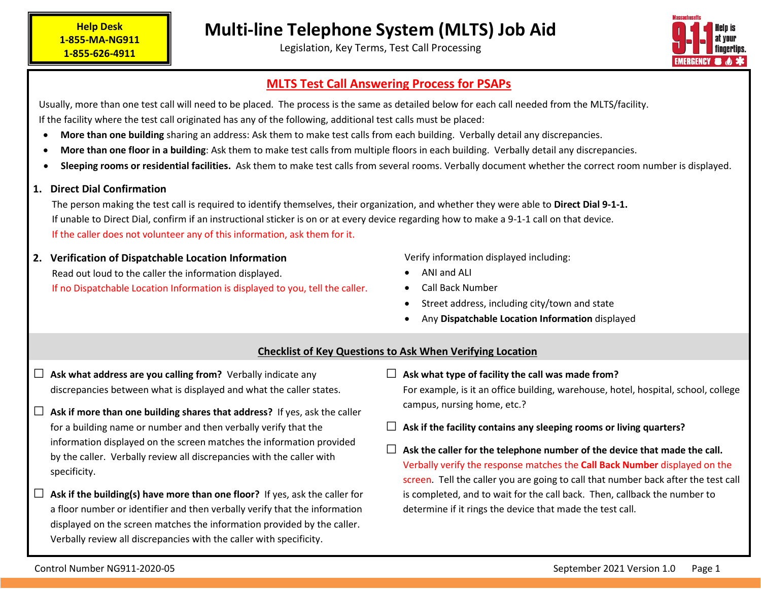# • **Sleeping rooms or residential facilities.** Ask them to make test calls from several rooms. Verbally document whether the correct room number is displayed.

## **1. Direct Dial Confirmation**

**Help Desk 1-855-MA-NG911 1-855-626-4911**

The person making the test call is required to identify themselves, their organization, and whether they were able to **Direct Dial 9-1-1.** If unable to Direct Dial, confirm if an instructional sticker is on or at every device regarding how to make a 9-1-1 call on that device. If the caller does not volunteer any of this information, ask them for it.

Usually, more than one test call will need to be placed. The process is the same as detailed below for each call needed from the MLTS/facility.

**2. Verification of Dispatchable Location Information** Read out loud to the caller the information displayed. If no Dispatchable Location Information is displayed to you, tell the caller. Verify information displayed including:

- ANI and ALI • Call Back Number
- Street address, including city/town and state

□ **Ask what type of facility the call was made from?** 

campus, nursing home, etc.?

• Any **Dispatchable Location Information** displayed

□ **Ask if the facility contains any sleeping rooms or living quarters?**

# **Checklist of Key Questions to Ask When Verifying Location**

- □ **Ask what address are you calling from?** Verbally indicate any discrepancies between what is displayed and what the caller states.
- □ **Ask if more than one building shares that address?** If yes, ask the caller for a building name or number and then verbally verify that the information displayed on the screen matches the information provided by the caller. Verbally review all discrepancies with the caller with specificity.
- Ask if the building(s) have more than one floor? If yes, ask the caller for a floor number or identifier and then verbally verify that the information displayed on the screen matches the information provided by the caller. Verbally review all discrepancies with the caller with specificity.

 $\Box$  Ask the caller for the telephone number of the device that made the call. Verbally verify the response matches the **Call Back Number** displayed on the screen. Tell the caller you are going to call that number back after the test call is completed, and to wait for the call back. Then, callback the number to determine if it rings the device that made the test call.

For example, is it an office building, warehouse, hotel, hospital, school, college

Legislation, Key Terms, Test Call Processing

# **MLTS Test Call Answering Process for PSAPs**